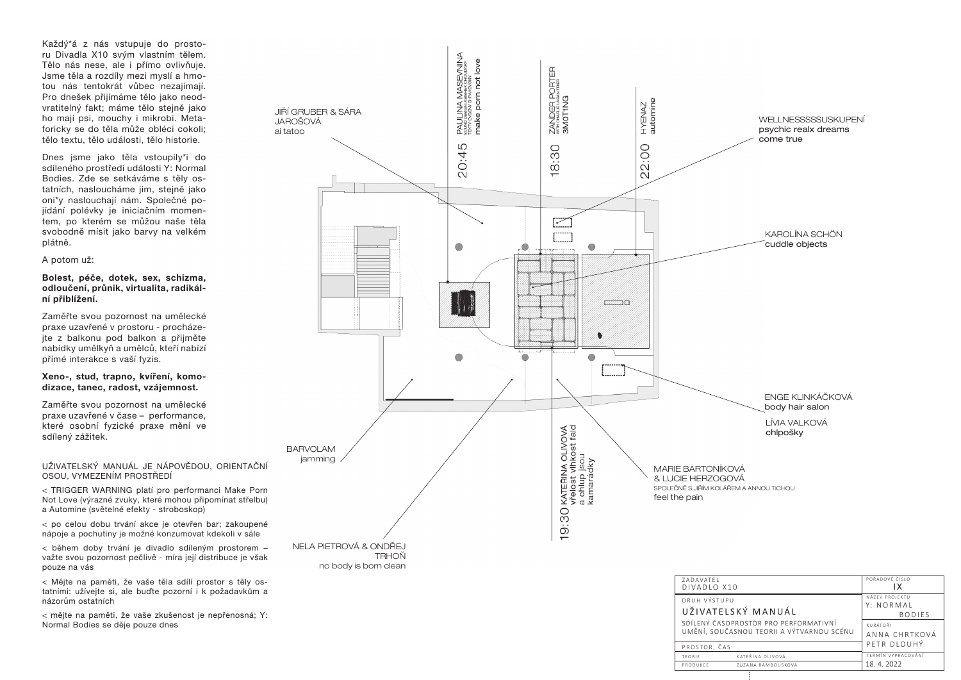| WELLNESSSSSUSKUPENÍ<br>psychic realx dreams<br>come true |
|----------------------------------------------------------|
|                                                          |
| KAROLÍNA SCHÖN<br>cuddle objects                         |

ENGE KLINKÁČKOVÁ body hair salon

LÍVIA VALKOVÁ chlpošky

UŽIVATELSKÝ MANUÁL JE NÁPOVĚDOU, ORIENTAČNÍ OSOU, VYMEZENÍM PROSTŘEDÍ

< TRIGGER WARNING platí pro performanci Make Porn Not Love (výrazné zvuky, které mohou připomínat střelbu) a Automine (světelné efekty - stroboskop)

< po celou dobu trvání akce je otevřen bar; zakoupené nápoje a pochutiny je možné konzumovat kdekoli v sále

< během doby trvání je divadlo sdíleným prostorem – važte svou pozornost pečlivě - míra její distribuce je však pouze na vás



< Mějte na paměti, že vaše těla sdílí prostor s těly os tatními: užívejte si, ale buďte pozorní i k požadavkům a názorům ostatních

< mějte na paměti, že vaše zkušenost je nepřenosná; Y: Normal Bodies se děje pouze dnes

| (10                                                           | POŘADOVÉ ČÍSLO<br>IХ                         |
|---------------------------------------------------------------|----------------------------------------------|
| $P$ <sub>I</sub><br>LSKÝ MANUÁL                               | NÁZEV PROJEKTU<br>Y: NORMAL<br><b>BODIES</b> |
| OPROSTOR PRO PERFORMATIVNÍ<br>ČASNOU TEORII A VÝTVARNOU SCÉNU | KURÁTOŘI<br>ANNA CHRTKOVÁ                    |
| ۱Š.                                                           | PETR DLOUHÝ                                  |
| KATFŘINA OLIVOVÁ                                              | TERMÍN VYPRACOVÁNÍ                           |
| ZUZANA RAMBOUSKOVÁ                                            | 18.4.2022                                    |
|                                                               |                                              |

Každý\*á z nás vstupuje do prosto ru Divadla X10 svým vlastním tělem. Tělo nás nese, ale i přímo ovlivňuje. Jsme těla a rozdíly mezi myslí a hmo tou nás tentokrát vůbec nezajímají. Pro dnešek přijímáme tělo jako neod vratitelný fakt; máme tělo stejně jako ho mají psi, mouchy i mikrobi. Meta foricky se do těla může obléci cokoli; tělo textu, tělo události, tělo historie.

Dnes jsme jako těla vstoupily\*i do sdíleného prostředí události Y: Normal Bodies. Zde se setkáváme s těly os tatních, nasloucháme jim, stejně jako oni\*y naslouchají nám. Společné po jídání polévky je iniciačním momen tem, po kterém se můžou naše těla svobodně mísit jako barvy na velkém plátně.

## A potom už:

Bolest, péče, dotek, sex, schizma, odloučení, průnik, virtualita, radikál ní přiblížení.

Zaměřte svou pozornost na umělecké praxe uzavřené v prostoru - procháze jte z balkonu pod balkon a přijměte nabídky umělkyň a umělců, kteří nabízí přímé interakce s vaší fyzis.

## Xeno-, stud, trapno, kvíření, komo dizace, tanec, radost, vzájemnost.

Zaměřte svou pozornost na umělecké praxe uzavřené v čase – performance, které osobní fyzické praxe mění ve sdílený zážitek.